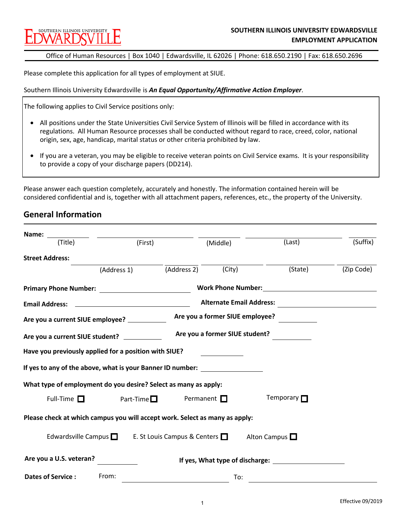# SOUTHERN ILLINOIS UNIVERSIT

Office of Human Resources | Box 1040 | Edwardsville, IL 62026 | Phone: 618.650.2190 | Fax: 618.650.2696

Please complete this application for all types of employment at SIUE.

Southern Illinois University Edwardsville is *An Equal Opportunity/Affirmative Action Employer*.

The following applies to Civil Service positions only:

- All positions under the State Universities Civil Service System of Illinois will be filled in accordance with its regulations. All Human Resource processes shall be conducted without regard to race, creed, color, national origin, sex, age, handicap, marital status or other criteria prohibited by law.
- If you are a veteran, you may be eligible to receive veteran points on Civil Service exams. It is your responsibility to provide a copy of your discharge papers (DD214).

Please answer each question completely, accurately and honestly. The information contained herein will be considered confidential and is, together with all attachment papers, references, etc., the property of the University.

## **General Information**

| Name: and the same of the same of the same of the same of the same of the same of the same of the same of the same of the same of the same of the same of the same of the same of the same of the same of the same of the same |                                                                 |                                                                             |                                                                                                                                                                                                                                |            |
|--------------------------------------------------------------------------------------------------------------------------------------------------------------------------------------------------------------------------------|-----------------------------------------------------------------|-----------------------------------------------------------------------------|--------------------------------------------------------------------------------------------------------------------------------------------------------------------------------------------------------------------------------|------------|
| (Title)                                                                                                                                                                                                                        | (First)                                                         | (Middle)                                                                    | (Last)                                                                                                                                                                                                                         | (Suffix)   |
| <b>Street Address:</b>                                                                                                                                                                                                         |                                                                 |                                                                             |                                                                                                                                                                                                                                |            |
|                                                                                                                                                                                                                                | (Address 1)                                                     | (City)<br>(Address 2)                                                       | (State)                                                                                                                                                                                                                        | (Zip Code) |
|                                                                                                                                                                                                                                |                                                                 |                                                                             | Work Phone Number: View Management Control of the Management Control of the Management Control of the Management Control of the Management Control of the Management Control of the Management Control of the Management Contr |            |
| <b>Email Address:</b>                                                                                                                                                                                                          |                                                                 |                                                                             | <b>Alternate Email Address:</b>                                                                                                                                                                                                |            |
|                                                                                                                                                                                                                                | Are you a current SIUE employee? ___________                    | Are you a former SIUE employee?                                             |                                                                                                                                                                                                                                |            |
|                                                                                                                                                                                                                                | Are you a current SIUE student? __________                      | Are you a former SIUE student?                                              |                                                                                                                                                                                                                                |            |
|                                                                                                                                                                                                                                | Have you previously applied for a position with SIUE?           |                                                                             |                                                                                                                                                                                                                                |            |
|                                                                                                                                                                                                                                |                                                                 | If yes to any of the above, what is your Banner ID number:                  |                                                                                                                                                                                                                                |            |
|                                                                                                                                                                                                                                | What type of employment do you desire? Select as many as apply: |                                                                             |                                                                                                                                                                                                                                |            |
| Full-Time $\Box$                                                                                                                                                                                                               | Part-Time $\Box$                                                | Permanent $\square$                                                         | Temporary $\Box$                                                                                                                                                                                                               |            |
|                                                                                                                                                                                                                                |                                                                 | Please check at which campus you will accept work. Select as many as apply: |                                                                                                                                                                                                                                |            |
|                                                                                                                                                                                                                                |                                                                 | Edwardsville Campus $\Box$ E. St Louis Campus & Centers $\Box$              | Alton Campus $\Box$                                                                                                                                                                                                            |            |
| Are you a U.S. veteran?                                                                                                                                                                                                        |                                                                 |                                                                             |                                                                                                                                                                                                                                |            |
| <b>Dates of Service:</b>                                                                                                                                                                                                       | From:                                                           |                                                                             | To:                                                                                                                                                                                                                            |            |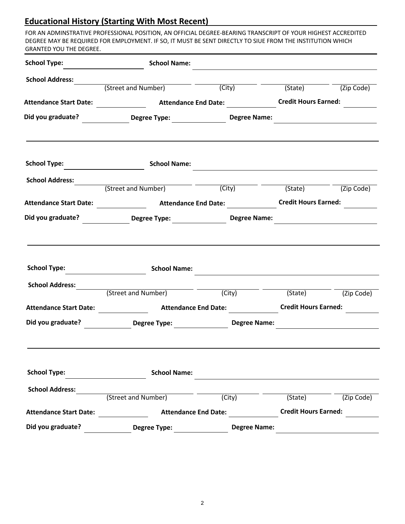# **Educational History (Starting With Most Recent)**

FOR AN ADMINSTRATIVE PROFESSIONAL POSITION, AN OFFICIAL DEGREE-BEARING TRANSCRIPT OF YOUR HIGHEST ACCREDITED DEGREE MAY BE REQUIRED FOR EMPLOYMENT. IF SO, IT MUST BE SENT DIRECTLY TO SIUE FROM THE INSTITUTION WHICH GRANTED YOU THE DEGREE.

| <b>School Type:</b>           | <b>School Name:</b>                                                                                                                                                                                                            |                             |                             |            |
|-------------------------------|--------------------------------------------------------------------------------------------------------------------------------------------------------------------------------------------------------------------------------|-----------------------------|-----------------------------|------------|
| <b>School Address:</b>        |                                                                                                                                                                                                                                |                             |                             |            |
|                               | (Street and Number)                                                                                                                                                                                                            | (City)                      | (State)                     | (Zip Code) |
| <b>Attendance Start Date:</b> | <b>Example 2 Attendance End Date:</b>                                                                                                                                                                                          |                             | <b>Credit Hours Earned:</b> |            |
|                               | Did you graduate? _______________Degree Type: ________________________Degree Name:                                                                                                                                             |                             |                             |            |
| School Type:                  | <b>School Name:</b>                                                                                                                                                                                                            |                             |                             |            |
|                               |                                                                                                                                                                                                                                |                             |                             |            |
| <b>School Address:</b>        | (Street and Number)                                                                                                                                                                                                            | (City)                      | (State)                     | (Zip Code) |
| <b>Attendance Start Date:</b> | <b>Attendance End Date:</b>                                                                                                                                                                                                    |                             | <b>Credit Hours Earned:</b> |            |
| Did you graduate?             | Degree Type: Degree Degree in the Separate Separate Separate Separate Separate Separate Separate Separate Separate Separate Separate Separate Separate Separate Separate Separate Separate Separate Separate Separate Separate | <b>Degree Name:</b>         |                             |            |
|                               |                                                                                                                                                                                                                                |                             |                             |            |
| <b>School Type:</b>           | <b>School Name:</b>                                                                                                                                                                                                            |                             |                             |            |
| <b>School Address:</b>        |                                                                                                                                                                                                                                |                             |                             |            |
|                               | (Street and Number)                                                                                                                                                                                                            | (City)                      | (State)                     | (Zip Code) |
| <b>Attendance Start Date:</b> | <b>Attendance End Date:</b>                                                                                                                                                                                                    |                             | <b>Credit Hours Earned:</b> |            |
|                               | Did you graduate? Degree Type: 1990 March 2014                                                                                                                                                                                 | <b>Degree Name:</b>         |                             |            |
|                               |                                                                                                                                                                                                                                |                             |                             |            |
| <b>School Type:</b>           | <b>School Name:</b>                                                                                                                                                                                                            |                             |                             |            |
| <b>School Address:</b>        |                                                                                                                                                                                                                                |                             |                             |            |
|                               | (Street and Number)                                                                                                                                                                                                            | (City)                      | (State)                     | (Zip Code) |
| <b>Attendance Start Date:</b> |                                                                                                                                                                                                                                | <b>Attendance End Date:</b> | <b>Credit Hours Earned:</b> |            |
| Did you graduate?             | <b>Degree Type:</b>                                                                                                                                                                                                            | <b>Degree Name:</b>         |                             |            |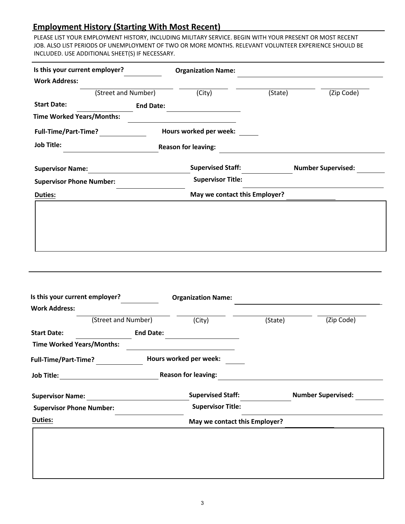## **Employment History (Starting With Most Recent)**

PLEASE LIST YOUR EMPLOYMENT HISTORY, INCLUDING MILITARY SERVICE. BEGIN WITH YOUR PRESENT OR MOST RECENT JOB. ALSO LIST PERIODS OF UNEMPLOYMENT OF TWO OR MORE MONTHS. RELEVANT VOLUNTEER EXPERIENCE SHOULD BE INCLUDED. USE ADDITIONAL SHEET(S) IF NECESSARY.

| <b>Work Address:</b><br>(Street and Number)<br><b>Start Date:</b><br><b>Time Worked Years/Months:</b><br><b>Full-Time/Part-Time?</b> | $\overline{(City)}$           |         |                           |
|--------------------------------------------------------------------------------------------------------------------------------------|-------------------------------|---------|---------------------------|
|                                                                                                                                      |                               |         |                           |
|                                                                                                                                      |                               | (State) | (Zip Code)                |
|                                                                                                                                      | <b>End Date:</b>              |         |                           |
|                                                                                                                                      |                               |         |                           |
|                                                                                                                                      | Hours worked per week:        |         |                           |
| <b>Job Title:</b>                                                                                                                    | <b>Reason for leaving:</b>    |         |                           |
| <b>Supervisor Name:</b>                                                                                                              | <b>Supervised Staff:</b>      |         | <b>Number Supervised:</b> |
| <b>Supervisor Phone Number:</b>                                                                                                      | <b>Supervisor Title:</b>      |         |                           |
| <b>Duties:</b>                                                                                                                       | May we contact this Employer? |         |                           |
|                                                                                                                                      |                               |         |                           |
| Is this your current employer?<br><b>Work Address:</b>                                                                               | <b>Organization Name:</b>     |         |                           |
| (Street and Number)                                                                                                                  | (City)                        | (State) | (Zip Code)                |
|                                                                                                                                      | <b>End Date:</b>              |         |                           |
|                                                                                                                                      |                               |         |                           |
|                                                                                                                                      | Hours worked per week:        |         |                           |
|                                                                                                                                      |                               |         |                           |
|                                                                                                                                      | <b>Supervised Staff:</b>      |         | <b>Number Supervised:</b> |
| <b>Start Date:</b><br><b>Time Worked Years/Months:</b><br>Full-Time/Part-Time?<br><b>Supervisor Phone Number:</b>                    | <b>Supervisor Title:</b>      |         |                           |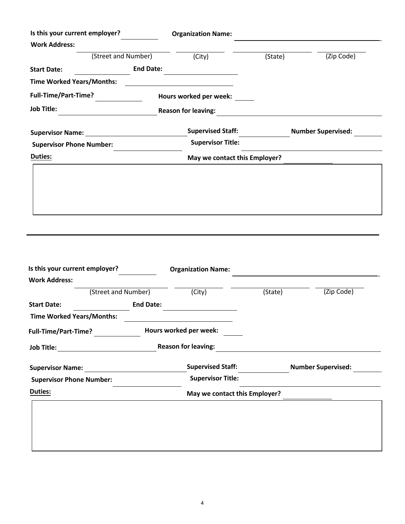| Is this your current employer?   |                  | <b>Organization Name:</b>     |         |                           |
|----------------------------------|------------------|-------------------------------|---------|---------------------------|
| <b>Work Address:</b>             |                  |                               |         |                           |
| (Street and Number)              |                  | (City)                        | (State) | (Zip Code)                |
| <b>Start Date:</b>               | <b>End Date:</b> |                               |         |                           |
| <b>Time Worked Years/Months:</b> |                  |                               |         |                           |
| Full-Time/Part-Time?             |                  | Hours worked per week:        |         |                           |
| <b>Job Title:</b>                |                  | <b>Reason for leaving:</b>    |         |                           |
| <b>Supervisor Name:</b>          |                  | <b>Supervised Staff:</b>      |         | <b>Number Supervised:</b> |
| <b>Supervisor Phone Number:</b>  |                  | <b>Supervisor Title:</b>      |         |                           |
| <b>Duties:</b>                   |                  | May we contact this Employer? |         |                           |
|                                  |                  |                               |         |                           |
|                                  |                  |                               |         |                           |
|                                  |                  |                               |         |                           |
|                                  |                  |                               |         |                           |

| Is this your current employer?   |                        | <b>Organization Name:</b>     |         |                           |
|----------------------------------|------------------------|-------------------------------|---------|---------------------------|
| <b>Work Address:</b>             |                        |                               |         |                           |
| (Street and Number)              |                        | (City)                        | (State) | (Zip Code)                |
| <b>Start Date:</b>               | <b>End Date:</b>       |                               |         |                           |
| <b>Time Worked Years/Months:</b> |                        |                               |         |                           |
| <b>Full-Time/Part-Time?</b>      | Hours worked per week: |                               |         |                           |
| <b>Job Title:</b>                |                        | <b>Reason for leaving:</b>    |         |                           |
| <b>Supervisor Name:</b>          |                        | <b>Supervised Staff:</b>      |         | <b>Number Supervised:</b> |
| <b>Supervisor Phone Number:</b>  |                        | <b>Supervisor Title:</b>      |         |                           |
| <b>Duties:</b>                   |                        | May we contact this Employer? |         |                           |
|                                  |                        |                               |         |                           |
|                                  |                        |                               |         |                           |
|                                  |                        |                               |         |                           |
|                                  |                        |                               |         |                           |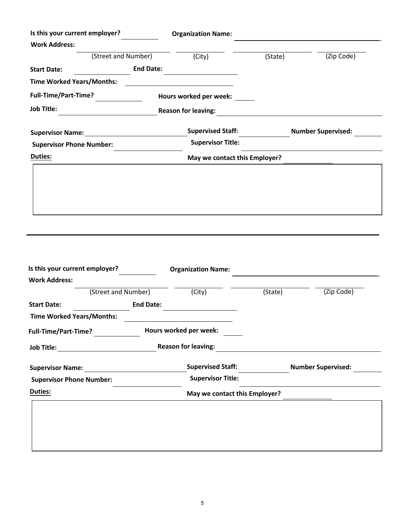| Is this your current employer?   |                  | <b>Organization Name:</b>     |         |                           |
|----------------------------------|------------------|-------------------------------|---------|---------------------------|
| <b>Work Address:</b>             |                  |                               |         |                           |
| (Street and Number)              |                  | (City)                        | (State) | (Zip Code)                |
| <b>Start Date:</b>               | <b>End Date:</b> |                               |         |                           |
| <b>Time Worked Years/Months:</b> |                  |                               |         |                           |
| Full-Time/Part-Time?             |                  | Hours worked per week:        |         |                           |
| <b>Job Title:</b>                |                  | <b>Reason for leaving:</b>    |         |                           |
| <b>Supervisor Name:</b>          |                  | <b>Supervised Staff:</b>      |         | <b>Number Supervised:</b> |
| <b>Supervisor Phone Number:</b>  |                  | <b>Supervisor Title:</b>      |         |                           |
| <b>Duties:</b>                   |                  | May we contact this Employer? |         |                           |
|                                  |                  |                               |         |                           |
|                                  |                  |                               |         |                           |
|                                  |                  |                               |         |                           |
|                                  |                  |                               |         |                           |

| Is this your current employer?   |                        | <b>Organization Name:</b>     |         |                           |
|----------------------------------|------------------------|-------------------------------|---------|---------------------------|
| <b>Work Address:</b>             |                        |                               |         |                           |
| (Street and Number)              |                        | (City)                        | (State) | (Zip Code)                |
| <b>Start Date:</b>               | <b>End Date:</b>       |                               |         |                           |
| <b>Time Worked Years/Months:</b> |                        |                               |         |                           |
| <b>Full-Time/Part-Time?</b>      | Hours worked per week: |                               |         |                           |
| <b>Job Title:</b>                |                        | <b>Reason for leaving:</b>    |         |                           |
| <b>Supervisor Name:</b>          |                        | <b>Supervised Staff:</b>      |         | <b>Number Supervised:</b> |
| <b>Supervisor Phone Number:</b>  |                        | <b>Supervisor Title:</b>      |         |                           |
| <b>Duties:</b>                   |                        | May we contact this Employer? |         |                           |
|                                  |                        |                               |         |                           |
|                                  |                        |                               |         |                           |
|                                  |                        |                               |         |                           |
|                                  |                        |                               |         |                           |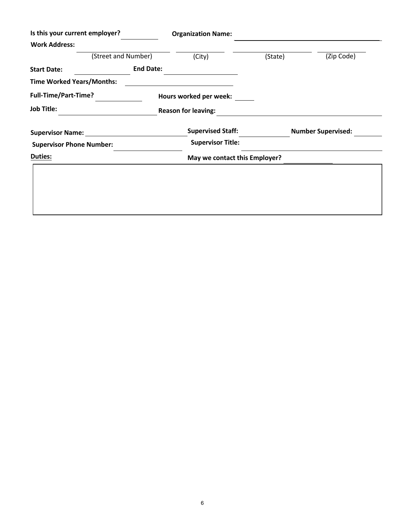| Is this your current employer?   |                  | <b>Organization Name:</b>     |         |                           |
|----------------------------------|------------------|-------------------------------|---------|---------------------------|
| <b>Work Address:</b>             |                  |                               |         |                           |
| (Street and Number)              |                  | (City)                        | (State) | (Zip Code)                |
| <b>Start Date:</b>               | <b>End Date:</b> |                               |         |                           |
| <b>Time Worked Years/Months:</b> |                  |                               |         |                           |
| <b>Full-Time/Part-Time?</b>      |                  | Hours worked per week:        |         |                           |
| <b>Job Title:</b>                |                  | <b>Reason for leaving:</b>    |         |                           |
| <b>Supervisor Name:</b>          |                  | <b>Supervised Staff:</b>      |         | <b>Number Supervised:</b> |
| <b>Supervisor Phone Number:</b>  |                  | <b>Supervisor Title:</b>      |         |                           |
| <b>Duties:</b>                   |                  | May we contact this Employer? |         |                           |
|                                  |                  |                               |         |                           |
|                                  |                  |                               |         |                           |
|                                  |                  |                               |         |                           |
|                                  |                  |                               |         |                           |